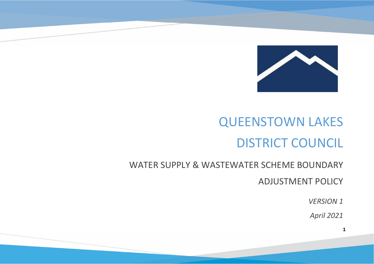

# QUEENSTOWN LAKESDISTRICT COUNCIL

### WATER SUPPLY & WASTEWATER SCHEME BOUNDARY

ADJUSTMENT POLICY

*VERSION 1* 

*April 2021*

**1**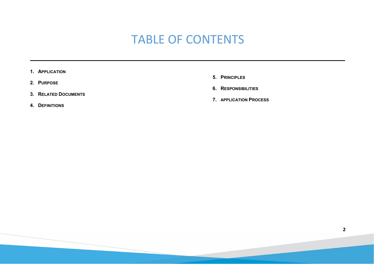# TABLE OF CONTENTS

- **1. APPLICATION**
- **2. PURPOSE**
- **3. RELATED DOCUMENTS**
- **4. DEFINITIONS**
- **5. PRINCIPLES**
- **6. RESPONSIBILITIES**
- **7. APPLICATION PROCESS**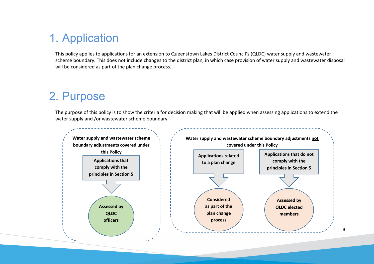# 1. Application

This policy applies to applications for an extension to Queenstown Lakes District Council's (QLDC) water supply and wastewater scheme boundary. This does not include changes to the district plan, in which case provision of water supply and wastewater disposal will be considered as part of the plan change process.

## 2. Purpose

The purpose of this policy is to show the criteria for decision making that will be applied when assessing applications to extend the water supply and /or wastewater scheme boundary.

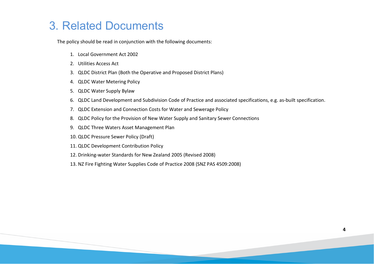# 3. Related Documents

The policy should be read in conjunction with the following documents:

- 1. Local Government Act 2002
- 2. Utilities Access Act
- 3. QLDC District Plan (Both the Operative and Proposed District Plans)
- 4. QLDC Water Metering Policy
- 5. QLDC Water Supply Bylaw
- 6. QLDC Land Development and Subdivision Code of Practice and associated specifications, e.g. as-built specification.
- 7. QLDC Extension and Connection Costs for Water and Sewerage Policy
- 8. QLDC Policy for the Provision of New Water Supply and Sanitary Sewer Connections
- 9. QLDC Three Waters Asset Management Plan
- 10. QLDC Pressure Sewer Policy (Draft)
- 11. QLDC Development Contribution Policy
- 12. Drinking-water Standards for New Zealand 2005 (Revised 2008)
- 13. NZ Fire Fighting Water Supplies Code of Practice 2008 (SNZ PAS 4509:2008)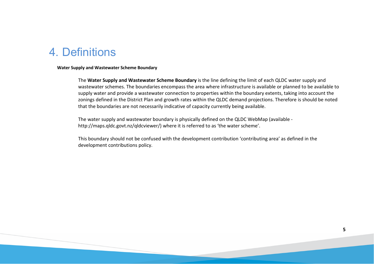### 4. Definitions

#### **Water Supply and Wastewater Scheme Boundary**

The **Water Supply and Wastewater Scheme Boundary** is the line defining the limit of each QLDC water supply and wastewater schemes. The boundaries encompass the area where infrastructure is available or planned to be available to supply water and provide a wastewater connection to properties within the boundary extents, taking into account the zonings defined in the District Plan and growth rates within the QLDC demand projections. Therefore is should be noted that the boundaries are not necessarily indicative of capacity currently being available.

The water supply and wastewater boundary is physically defined on the QLDC WebMap (available http://maps.qldc.govt.nz/qldcviewer/) where it is referred to as 'the water scheme'.

This boundary should not be confused with the development contribution 'contributing area' as defined in the development contributions policy.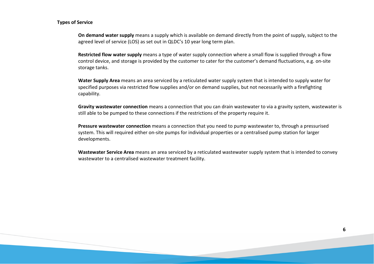#### **Types of Service**

**On demand water supply** means a supply which is available on demand directly from the point of supply, subject to the agreed level of service (LOS) as set out in QLDC's 10 year long term plan.

**Restricted flow water supply** means a type of water supply connection where a small flow is supplied through a flow control device, and storage is provided by the customer to cater for the customer's demand fluctuations, e.g. on-site storage tanks.

**Water Supply Area** means an area serviced by a reticulated water supply system that is intended to supply water for specified purposes via restricted flow supplies and/or on demand supplies, but not necessarily with a firefighting capability.

**Gravity wastewater connection** means a connection that you can drain wastewater to via a gravity system, wastewater is still able to be pumped to these connections if the restrictions of the property require it.

**Pressure wastewater connection** means a connection that you need to pump wastewater to, through a pressurised system. This will required either on-site pumps for individual properties or a centralised pump station for larger developments.

**Wastewater Service Area** means an area serviced by a reticulated wastewater supply system that is intended to convey wastewater to a centralised wastewater treatment facility.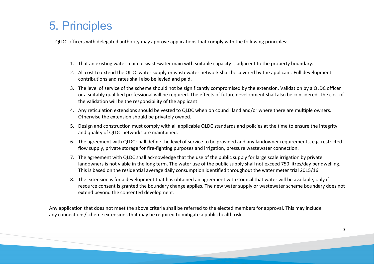# 5. Principles

QLDC officers with delegated authority may approve applications that comply with the following principles:

- 1. That an existing water main or wastewater main with suitable capacity is adjacent to the property boundary.
- 2. All cost to extend the QLDC water supply or wastewater network shall be covered by the applicant. Full development contributions and rates shall also be levied and paid.
- 3. The level of service of the scheme should not be significantly compromised by the extension. Validation by a QLDC officer or a suitably qualified professional will be required. The effects of future development shall also be considered. The cost of the validation will be the responsibility of the applicant.
- 4. Any reticulation extensions should be vested to QLDC when on council land and/or where there are multiple owners. Otherwise the extension should be privately owned.
- 5. Design and construction must comply with all applicable QLDC standards and policies at the time to ensure the integrity and quality of QLDC networks are maintained.
- 6. The agreement with QLDC shall define the level of service to be provided and any landowner requirements, e.g. restricted flow supply, private storage for fire-fighting purposes and irrigation, pressure wastewater connection.
- 7. The agreement with QLDC shall acknowledge that the use of the public supply for large scale irrigation by private landowners is not viable in the long term. The water use of the public supply shall not exceed 750 litres/day per dwelling. This is based on the residential average daily consumption identified throughout the water meter trial 2015/16.
- 8. The extension is for a development that has obtained an agreement with Council that water will be available, only if resource consent is granted the boundary change applies. The new water supply or wastewater scheme boundary does not extend beyond the consented development.

Any application that does not meet the above criteria shall be referred to the elected members for approval. This may include any connections/scheme extensions that may be required to mitigate a public health risk.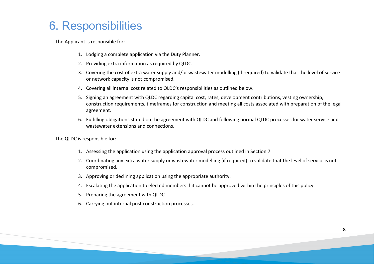# 6. Responsibilities

The Applicant is responsible for:

- 1. Lodging a complete application via the Duty Planner.
- 2. Providing extra information as required by QLDC.
- 3. Covering the cost of extra water supply and/or wastewater modelling (if required) to validate that the level of service or network capacity is not compromised.
- 4. Covering all internal cost related to QLDC's responsibilities as outlined below.
- 5. Signing an agreement with QLDC regarding capital cost, rates, development contributions, vesting ownership, construction requirements, timeframes for construction and meeting all costs associated with preparation of the legal agreement.
- 6. Fulfilling obligations stated on the agreement with QLDC and following normal QLDC processes for water service and wastewater extensions and connections.

The QLDC is responsible for:

- 1. Assessing the application using the application approval process outlined in Section 7.
- 2. Coordinating any extra water supply or wastewater modelling (if required) to validate that the level of service is not compromised.
- 3. Approving or declining application using the appropriate authority.
- 4. Escalating the application to elected members if it cannot be approved within the principles of this policy.
- 5. Preparing the agreement with QLDC.
- 6. Carrying out internal post construction processes.